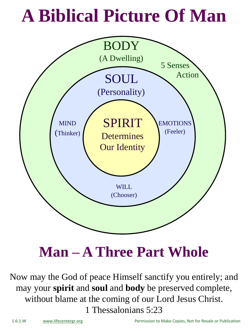#### **A Biblical Picture Of Man**



**Man – A Three Part Whole**

Now may the God of peace Himself sanctify you entirely; and may your **spirit** and **soul** and **body** be preserved complete, without blame at the coming of our Lord Jesus Christ. 1 Thessalonians 5:23

1.6.1.W [www.lifecentergr.org](http://www.lifecentergr.org/) Permission to Make Copies, Not for Resale or Publication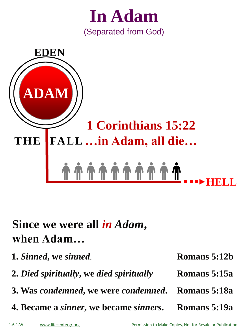



#### **Since we were all** *in Adam***, when Adam…**

**1.** *Sinned***, we** *sinned.* **2.** *Died spiritually***, we** *died spiritually* **3. Was** *condemned***, we were** *condemned***. Romans 5:18a 4. Became a** *sinner***, we became** *sinners***. Romans 5:15a Romans 5:12b Romans 5:19a**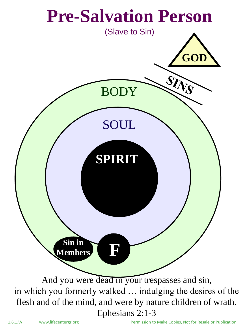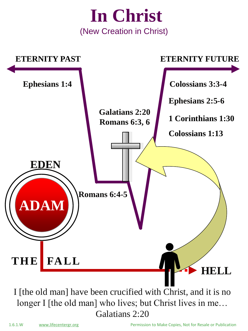

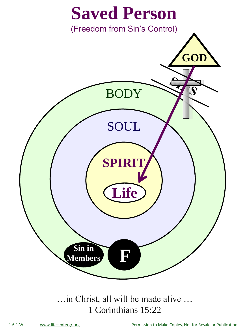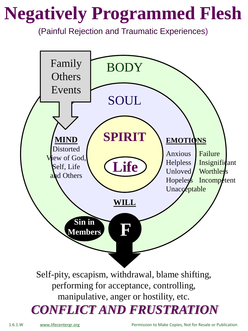## **Negatively Programmed Flesh**

(Painful Rejection and Traumatic Experiences)



1.6.1.W [www.lifecentergr.org](http://www.lifecentergr.org/) Permission to Make Copies, Not for Resale or Publication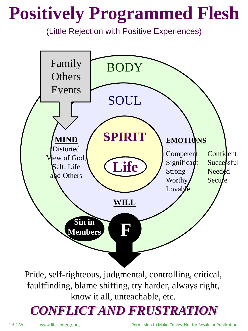## **Positively Programmed Flesh**

(Little Rejection with Positive Experiences)



Pride, self-righteous, judgmental, controlling, critical, faultfinding, blame shifting, try harder, always right, know it all, unteachable, etc.

#### *CONFLICT AND FRUSTRATION*